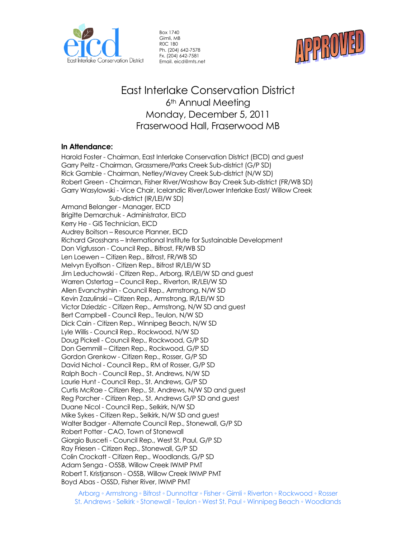

Box 1740 Gimli, MB R0C 1B0 Ph. (204) 642-7578 Fx. (204) 642-7581 Email. eicd@mts.net



# East Interlake Conservation District 6<sup>th</sup> Annual Meeting Monday, December 5, 2011 Fraserwood Hall, Fraserwood MB

# **In Attendance:**

Harold Foster - Chairman, East Interlake Conservation District (EICD) and guest Garry Peltz - Chairman, Grassmere/Parks Creek Sub-district (G/P SD) Rick Gamble - Chairman, Netley/Wavey Creek Sub-district (N/W SD) Robert Green - Chairman, Fisher River/Washow Bay Creek Sub-district (FR/WB SD) Garry Wasylowski - Vice Chair, Icelandic River/Lower Interlake East/ Willow Creek Sub-district (IR/LEI/W SD) Armand Belanger - Manager, EICD Brigitte Demarchuk - Administrator, EICD Kerry He - GIS Technician, EICD Audrey Boitson – Resource Planner, EICD Richard Grosshans – International Institute for Sustainable Development Don Vigfusson - Council Rep., Bifrost, FR/WB SD Len Loewen – Citizen Rep., Bifrost, FR/WB SD Melvyn Eyolfson - Citizen Rep., Bifrost IR/LEI/W SD Jim Leduchowski - Citizen Rep., Arborg, IR/LEI/W SD and guest Warren Ostertag – Council Rep., Riverton, IR/LEI/W SD Allen Evanchyshin - Council Rep., Armstrong, N/W SD Kevin Zazulinski – Citizen Rep., Armstrong, IR/LEI/W SD Victor Dziedzic - Citizen Rep., Armstrong, N/W SD and guest Bert Campbell - Council Rep., Teulon, N/W SD Dick Cain - Citizen Rep., Winnipeg Beach, N/W SD Lyle Willis - Council Rep., Rockwood, N/W SD Doug Pickell - Council Rep., Rockwood, G/P SD Don Gemmill – Citizen Rep., Rockwood, G/P SD Gordon Grenkow - Citizen Rep., Rosser, G/P SD David Nichol - Council Rep., RM of Rosser, G/P SD Ralph Boch - Council Rep., St. Andrews, N/W SD Laurie Hunt - Council Rep., St. Andrews, G/P SD Curtis McRae - Citizen Rep., St. Andrews, N/W SD and guest Reg Porcher - Citizen Rep., St. Andrews G/P SD and guest Duane Nicol - Council Rep., Selkirk, N/W SD Mike Sykes - Citizen Rep., Selkirk, N/W SD and guest Walter Badger - Alternate Council Rep., Stonewall, G/P SD Robert Potter - CAO, Town of Stonewall Giorgio Busceti - Council Rep., West St. Paul, G/P SD Ray Friesen - Citizen Rep., Stonewall, G/P SD Colin Crockatt - Citizen Rep., Woodlands, G/P SD Adam Senga - O5SB, Willow Creek IWMP PMT Robert T. Kristjanson - O5SB, Willow Creek IWMP PMT Boyd Abas - O5SD, Fisher River, IWMP PMT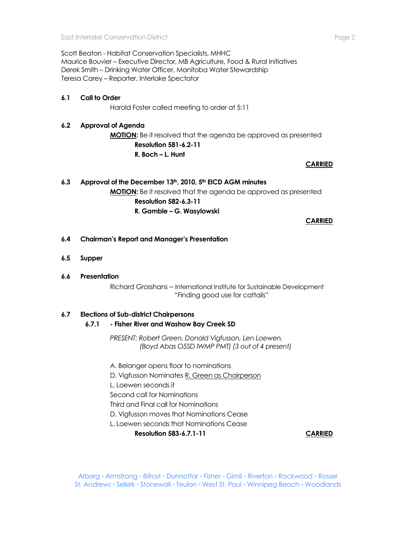Scott Beaton - Habitat Conservation Specialists, MHHC Maurice Bouvier – Executive Director, MB Agriculture, Food & Rural Initiatives Derek Smith – Drinking Water Officer, Manitoba Water Stewardship Teresa Carey – Reporter, Interlake Spectator

#### **6.1 Call to Order**

Harold Foster called meeting to order at 5:11

### **6.2 Approval of Agenda**

**MOTION:** Be it resolved that the agenda be approved as presented **Resolution 581-6.2-11 R. Boch – L. Hunt** 

**CARRIED**

# **6.3 Approval of the December 13th, 2010, 5th EICD AGM minutes MOTION:** Be it resolved that the agenda be approved as presented **Resolution 582-6.3-11**

**R. Gamble – G. Wasylowski**

#### **CARRIED**

- **6.4 Chairman's Report and Manager's Presentation**
- **6.5 Supper**
- **6.6 Presentation**

Richard Grosshans – International Institute for Sustainable Development "Finding good use for cattails"

#### **6.7 Elections of Sub-district Chairpersons**

**6.7.1 - Fisher River and Washow Bay Creek SD**

*PRESENT: Robert Green, Donald Vigfusson, Len Loewen, (Boyd Abas O5SD IWMP PMT) (3 out of 4 present)*

A. Belanger opens floor to nominations

D. Vigfusson Nominates R. Green as Chairperson

L. Loewen seconds it

Second call for Nominations

Third and Final call for Nominations

D. Vigfusson moves that Nominations Cease

L. Loewen seconds that Nominations Cease

**Resolution 583-6.7.1-11 CARRIED**

Arborg ◦ Armstrong ◦ Bifrost ◦ Dunnottar ◦ Fisher ◦ Gimli ◦ Riverton ◦ Rockwood ◦ Rosser St. Andrews ◦ Selkirk ◦ Stonewall ◦ Teulon ◦ West St. Paul ◦ Winnipeg Beach ◦ Woodlands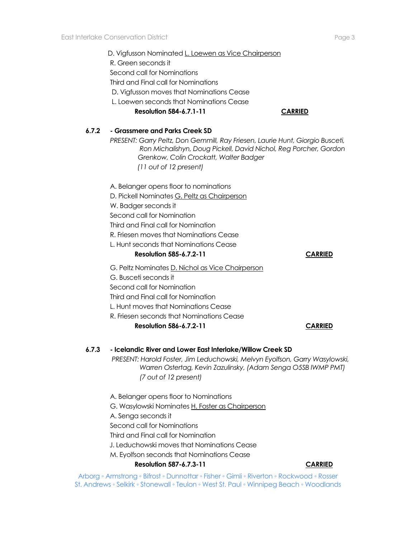**6.7.2 - Grassmere and Parks Creek SD**

|       | D. Vigfusson Nominated L. Loewen as Vice Chairperson<br>R. Green seconds it<br>Second call for Nominations<br>Third and Final call for Nominations<br>D. Vigfusson moves that Nominations Cease                                                                                                            |                |
|-------|------------------------------------------------------------------------------------------------------------------------------------------------------------------------------------------------------------------------------------------------------------------------------------------------------------|----------------|
|       | L. Loewen seconds that Nominations Cease<br><b>Resolution 584-6.7.1-11</b>                                                                                                                                                                                                                                 | <b>CARRIED</b> |
| 6.7.2 | - Grassmere and Parks Creek SD<br>PRESENT: Garry Peltz, Don Gemmill, Ray Friesen, Laurie Hunt, Giorgio Busceti,<br>Ron Michalishyn, Doug Pickell, David Nichol, Reg Porcher, Gordon<br>Grenkow, Colin Crockatt, Walter Badger<br>(11 out of 12 present)                                                    |                |
|       | A. Belanger opens floor to nominations<br>D. Pickell Nominates G. Peltz as Chairperson<br>W. Badger seconds it<br>Second call for Nomination<br>Third and Final call for Nomination<br>R. Friesen moves that Nominations Cease<br>L. Hunt seconds that Nominations Cease<br><b>Resolution 585-6.7.2-11</b> | <b>CARRIED</b> |
|       | G. Peltz Nominates D. Nichol as Vice Chairperson<br>G. Busceti seconds it<br>Second call for Nomination<br>Third and Final call for Nomination<br>L. Hunt moves that Nominations Cease<br>R. Friesen seconds that Nominations Cease<br><b>Resolution 586-6.7.2-11</b>                                      | <b>CARRIED</b> |
| 6.7.3 | - Icelandic River and Lower East Interlake/Willow Creek SD<br>PRESENT: Harold Foster, Jim Leduchowski, Melvyn Eyolfson, Garry Wasylowski,<br>Warren Ostertag, Kevin Zazulinsky, (Adam Senga O5SB IWMP PMT)<br>(7 out of 12 present)                                                                        |                |

A. Belanger opens floor to Nominations G. Wasylowski Nominates H. Foster as Chairperson A. Senga seconds it Second call for Nominations Third and Final call for Nomination J. Leduchowski moves that Nominations Cease M. Eyolfson seconds that Nominations Cease **Resolution 587-6.7.3-11 CARRIED**

Arborg ◦ Armstrong ◦ Bifrost ◦ Dunnottar ◦ Fisher ◦ Gimli ◦ Riverton ◦ Rockwood ◦ Rosser St. Andrews ◦ Selkirk ◦ Stonewall ◦ Teulon ◦ West St. Paul ◦ Winnipeg Beach ◦ Woodlands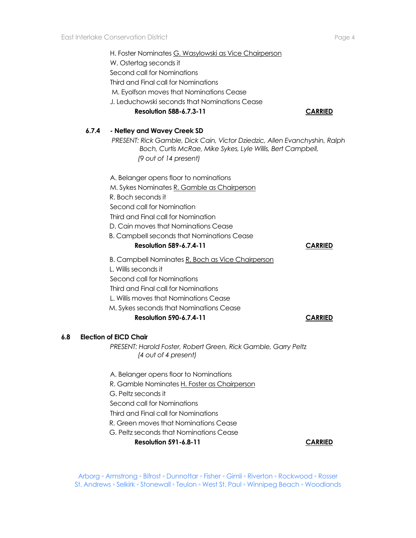|     |                               | H. Foster Nominates G. Wasylowski as Vice Chairperson<br>W. Ostertag seconds it<br>Second call for Nominations<br>Third and Final call for Nominations<br>M. Eyolfson moves that Nominations Cease<br>J. Leduchowski seconds that Nominations Cease<br><b>Resolution 588-6.7.3-11</b> | <b>CARRIED</b> |  |  |
|-----|-------------------------------|---------------------------------------------------------------------------------------------------------------------------------------------------------------------------------------------------------------------------------------------------------------------------------------|----------------|--|--|
|     | 6.7.4                         | - Netley and Wavey Creek SD                                                                                                                                                                                                                                                           |                |  |  |
|     |                               | PRESENT: Rick Gamble, Dick Cain, Victor Dziedzic, Allen Evanchyshin, Ralph<br>Boch, Curtis McRae, Mike Sykes, Lyle Willis, Bert Campbell,<br>(9 out of 14 present)                                                                                                                    |                |  |  |
|     |                               | A. Belanger opens floor to nominations                                                                                                                                                                                                                                                |                |  |  |
|     |                               | M. Sykes Nominates R. Gamble as Chairperson                                                                                                                                                                                                                                           |                |  |  |
|     |                               | R. Boch seconds it                                                                                                                                                                                                                                                                    |                |  |  |
|     |                               | Second call for Nomination                                                                                                                                                                                                                                                            |                |  |  |
|     |                               | Third and Final call for Nomination                                                                                                                                                                                                                                                   |                |  |  |
|     |                               | D. Cain moves that Nominations Cease                                                                                                                                                                                                                                                  |                |  |  |
|     |                               | <b>B. Campbell seconds that Nominations Cease</b>                                                                                                                                                                                                                                     |                |  |  |
|     |                               | <b>Resolution 589-6.7.4-11</b>                                                                                                                                                                                                                                                        | <b>CARRIED</b> |  |  |
|     |                               | B. Campbell Nominates R. Boch as Vice Chairperson                                                                                                                                                                                                                                     |                |  |  |
|     |                               | L. Willis seconds it                                                                                                                                                                                                                                                                  |                |  |  |
|     |                               | Second call for Nominations                                                                                                                                                                                                                                                           |                |  |  |
|     |                               | Third and Final call for Nominations                                                                                                                                                                                                                                                  |                |  |  |
|     |                               | L. Willis moves that Nominations Cease                                                                                                                                                                                                                                                |                |  |  |
|     |                               | M. Sykes seconds that Nominations Cease                                                                                                                                                                                                                                               |                |  |  |
|     |                               | <b>Resolution 590-6.7.4-11</b>                                                                                                                                                                                                                                                        | <b>CARRIED</b> |  |  |
| 6.8 | <b>Election of EICD Chair</b> |                                                                                                                                                                                                                                                                                       |                |  |  |
|     |                               | PRESENT: Harold Foster, Robert Green, Rick Gamble, Garry Peltz<br>(4 out of 4 present)                                                                                                                                                                                                |                |  |  |
|     |                               | A. Belanger opens floor to Nominations                                                                                                                                                                                                                                                |                |  |  |
|     |                               | R. Gamble Nominates H. Foster as Chairperson                                                                                                                                                                                                                                          |                |  |  |
|     |                               | G. Peltz seconds it                                                                                                                                                                                                                                                                   |                |  |  |

Second call for Nominations

- Third and Final call for Nominations
- R. Green moves that Nominations Cease
- G. Peltz seconds that Nominations Cease

**Resolution 591-6.8-11 CARRIED** 

Arborg ◦ Armstrong ◦ Bifrost ◦ Dunnottar ◦ Fisher ◦ Gimli ◦ Riverton ◦ Rockwood ◦ Rosser St. Andrews ◦ Selkirk ◦ Stonewall ◦ Teulon ◦ West St. Paul ◦ Winnipeg Beach ◦ Woodlands